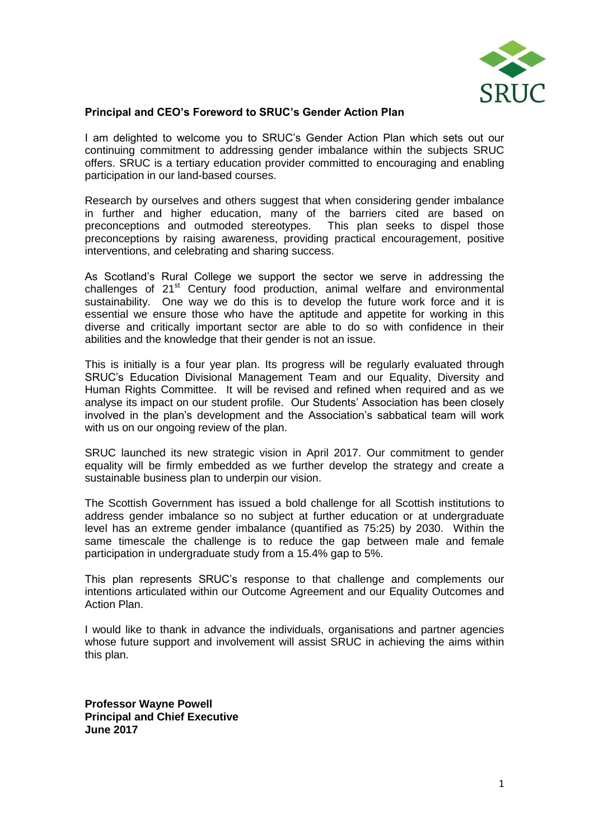

### **Principal and CEO's Foreword to SRUC's Gender Action Plan**

I am delighted to welcome you to SRUC's Gender Action Plan which sets out our continuing commitment to addressing gender imbalance within the subjects SRUC offers. SRUC is a tertiary education provider committed to encouraging and enabling participation in our land-based courses.

Research by ourselves and others suggest that when considering gender imbalance in further and higher education, many of the barriers cited are based on preconceptions and outmoded stereotypes. This plan seeks to dispel those preconceptions by raising awareness, providing practical encouragement, positive interventions, and celebrating and sharing success.

As Scotland's Rural College we support the sector we serve in addressing the challenges of 21<sup>st</sup> Century food production, animal welfare and environmental sustainability. One way we do this is to develop the future work force and it is essential we ensure those who have the aptitude and appetite for working in this diverse and critically important sector are able to do so with confidence in their abilities and the knowledge that their gender is not an issue.

This is initially is a four year plan. Its progress will be regularly evaluated through SRUC's Education Divisional Management Team and our Equality, Diversity and Human Rights Committee. It will be revised and refined when required and as we analyse its impact on our student profile. Our Students' Association has been closely involved in the plan's development and the Association's sabbatical team will work with us on our ongoing review of the plan.

SRUC launched its new strategic vision in April 2017. Our commitment to gender equality will be firmly embedded as we further develop the strategy and create a sustainable business plan to underpin our vision.

The Scottish Government has issued a bold challenge for all Scottish institutions to address gender imbalance so no subject at further education or at undergraduate level has an extreme gender imbalance (quantified as 75:25) by 2030. Within the same timescale the challenge is to reduce the gap between male and female participation in undergraduate study from a 15.4% gap to 5%.

This plan represents SRUC's response to that challenge and complements our intentions articulated within our Outcome Agreement and our Equality Outcomes and Action Plan.

I would like to thank in advance the individuals, organisations and partner agencies whose future support and involvement will assist SRUC in achieving the aims within this plan.

**Professor Wayne Powell Principal and Chief Executive June 2017**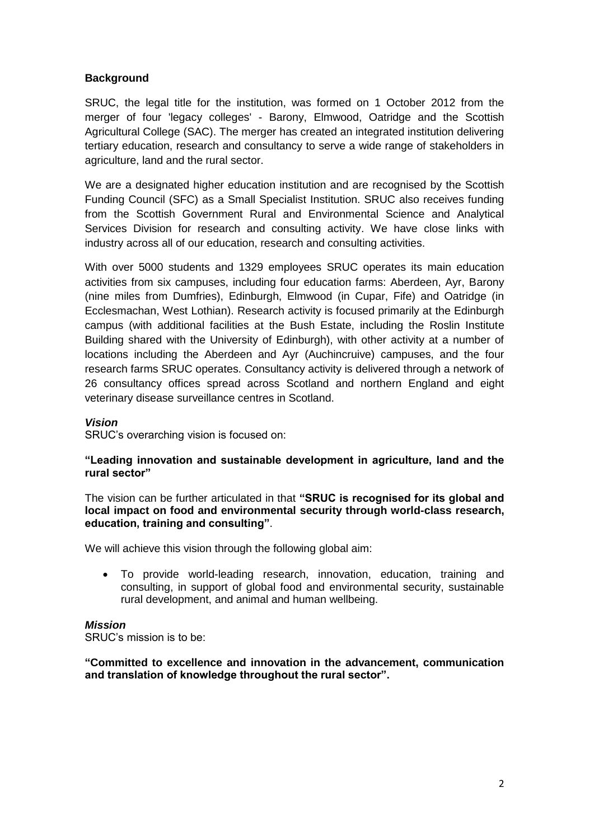# **Background**

SRUC, the legal title for the institution, was formed on 1 October 2012 from the merger of four 'legacy colleges' - Barony, Elmwood, Oatridge and the Scottish Agricultural College (SAC). The merger has created an integrated institution delivering tertiary education, research and consultancy to serve a wide range of stakeholders in agriculture, land and the rural sector.

We are a designated higher education institution and are recognised by the Scottish Funding Council (SFC) as a Small Specialist Institution. SRUC also receives funding from the Scottish Government Rural and Environmental Science and Analytical Services Division for research and consulting activity. We have close links with industry across all of our education, research and consulting activities.

With over 5000 students and 1329 employees SRUC operates its main education activities from six campuses, including four education farms: Aberdeen, Ayr, Barony (nine miles from Dumfries), Edinburgh, Elmwood (in Cupar, Fife) and Oatridge (in Ecclesmachan, West Lothian). Research activity is focused primarily at the Edinburgh campus (with additional facilities at the Bush Estate, including the Roslin Institute Building shared with the University of Edinburgh), with other activity at a number of locations including the Aberdeen and Ayr (Auchincruive) campuses, and the four research farms SRUC operates. Consultancy activity is delivered through a network of 26 consultancy offices spread across Scotland and northern England and eight veterinary disease surveillance centres in Scotland.

#### *Vision*

SRUC's overarching vision is focused on:

## **"Leading innovation and sustainable development in agriculture, land and the rural sector"**

The vision can be further articulated in that **"SRUC is recognised for its global and local impact on food and environmental security through world-class research, education, training and consulting"**.

We will achieve this vision through the following global aim:

 To provide world-leading research, innovation, education, training and consulting, in support of global food and environmental security, sustainable rural development, and animal and human wellbeing.

#### *Mission*

SRUC's mission is to be:

### **"Committed to excellence and innovation in the advancement, communication and translation of knowledge throughout the rural sector".**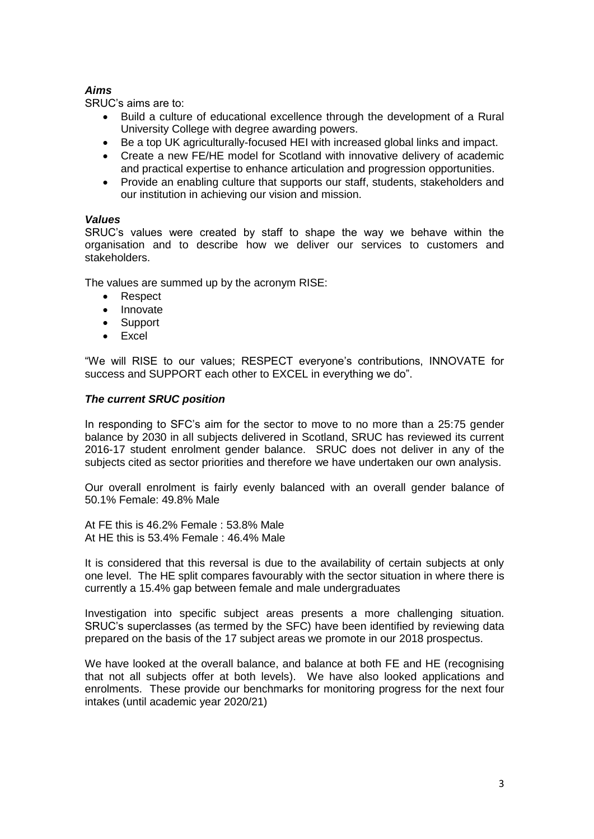# *Aims*

SRUC's aims are to:

- Build a culture of educational excellence through the development of a Rural University College with degree awarding powers.
- Be a top UK agriculturally-focused HEI with increased global links and impact.
- Create a new FE/HE model for Scotland with innovative delivery of academic and practical expertise to enhance articulation and progression opportunities.
- Provide an enabling culture that supports our staff, students, stakeholders and our institution in achieving our vision and mission.

## *Values*

SRUC's values were created by staff to shape the way we behave within the organisation and to describe how we deliver our services to customers and stakeholders.

The values are summed up by the acronym RISE:

- Respect
- Innovate
- Support
- Excel

"We will RISE to our values; RESPECT everyone's contributions, INNOVATE for success and SUPPORT each other to EXCEL in everything we do".

### *The current SRUC position*

In responding to SFC's aim for the sector to move to no more than a 25:75 gender balance by 2030 in all subjects delivered in Scotland, SRUC has reviewed its current 2016-17 student enrolment gender balance. SRUC does not deliver in any of the subjects cited as sector priorities and therefore we have undertaken our own analysis.

Our overall enrolment is fairly evenly balanced with an overall gender balance of 50.1% Female: 49.8% Male

At FE this is 46.2% Female : 53.8% Male At HE this is 53.4% Female : 46.4% Male

It is considered that this reversal is due to the availability of certain subjects at only one level. The HE split compares favourably with the sector situation in where there is currently a 15.4% gap between female and male undergraduates

Investigation into specific subject areas presents a more challenging situation. SRUC's superclasses (as termed by the SFC) have been identified by reviewing data prepared on the basis of the 17 subject areas we promote in our 2018 prospectus.

We have looked at the overall balance, and balance at both FE and HE (recognising that not all subjects offer at both levels). We have also looked applications and enrolments. These provide our benchmarks for monitoring progress for the next four intakes (until academic year 2020/21)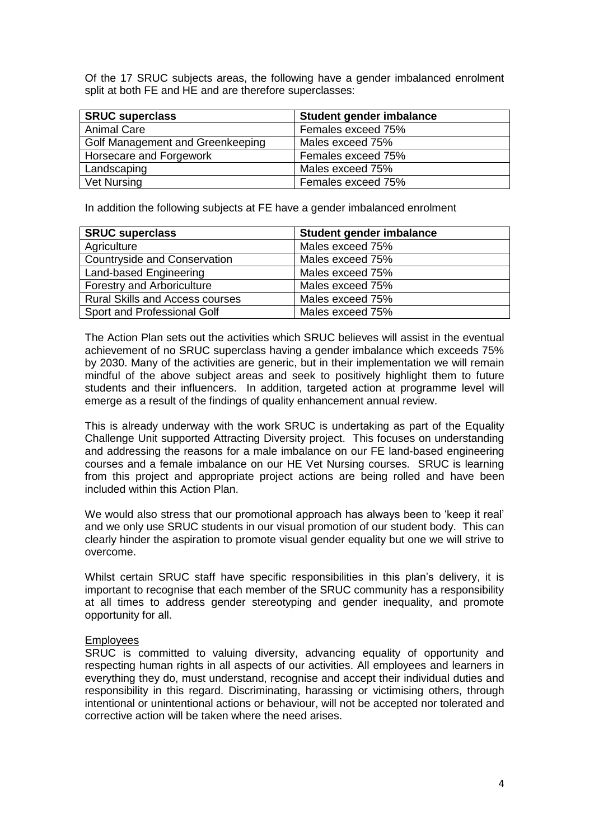Of the 17 SRUC subjects areas, the following have a gender imbalanced enrolment split at both FE and HE and are therefore superclasses:

| <b>SRUC superclass</b>           | Student gender imbalance |
|----------------------------------|--------------------------|
| <b>Animal Care</b>               | Females exceed 75%       |
| Golf Management and Greenkeeping | Males exceed 75%         |
| Horsecare and Forgework          | Females exceed 75%       |
| Landscaping                      | Males exceed 75%         |
| Vet Nursing                      | Females exceed 75%       |

In addition the following subjects at FE have a gender imbalanced enrolment

| <b>SRUC superclass</b>                 | Student gender imbalance |
|----------------------------------------|--------------------------|
| Agriculture                            | Males exceed 75%         |
| Countryside and Conservation           | Males exceed 75%         |
| Land-based Engineering                 | Males exceed 75%         |
| <b>Forestry and Arboriculture</b>      | Males exceed 75%         |
| <b>Rural Skills and Access courses</b> | Males exceed 75%         |
| Sport and Professional Golf            | Males exceed 75%         |

The Action Plan sets out the activities which SRUC believes will assist in the eventual achievement of no SRUC superclass having a gender imbalance which exceeds 75% by 2030. Many of the activities are generic, but in their implementation we will remain mindful of the above subject areas and seek to positively highlight them to future students and their influencers. In addition, targeted action at programme level will emerge as a result of the findings of quality enhancement annual review.

This is already underway with the work SRUC is undertaking as part of the Equality Challenge Unit supported Attracting Diversity project. This focuses on understanding and addressing the reasons for a male imbalance on our FE land-based engineering courses and a female imbalance on our HE Vet Nursing courses. SRUC is learning from this project and appropriate project actions are being rolled and have been included within this Action Plan.

We would also stress that our promotional approach has always been to 'keep it real' and we only use SRUC students in our visual promotion of our student body. This can clearly hinder the aspiration to promote visual gender equality but one we will strive to overcome.

Whilst certain SRUC staff have specific responsibilities in this plan's delivery, it is important to recognise that each member of the SRUC community has a responsibility at all times to address gender stereotyping and gender inequality, and promote opportunity for all.

#### Employees

SRUC is committed to valuing diversity, advancing equality of opportunity and respecting human rights in all aspects of our activities. All employees and learners in everything they do, must understand, recognise and accept their individual duties and responsibility in this regard. Discriminating, harassing or victimising others, through intentional or unintentional actions or behaviour, will not be accepted nor tolerated and corrective action will be taken where the need arises.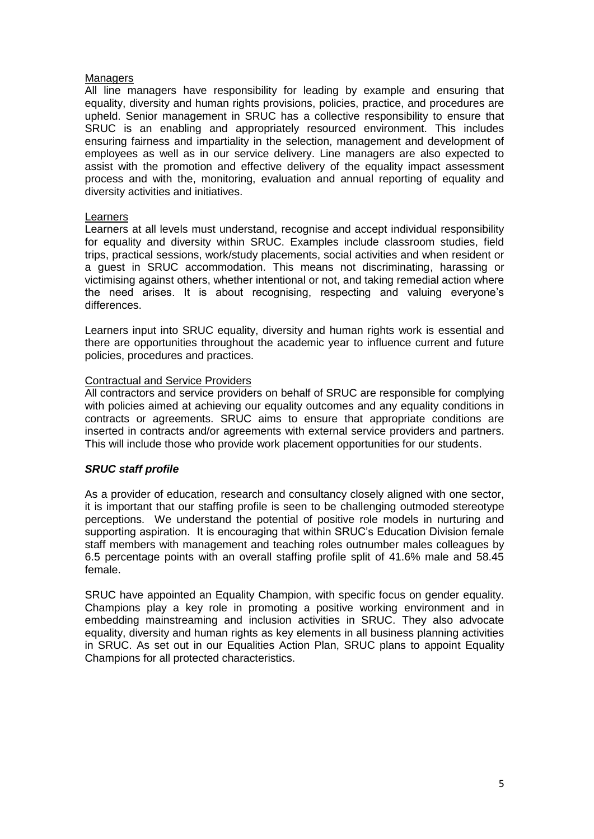### Managers

All line managers have responsibility for leading by example and ensuring that equality, diversity and human rights provisions, policies, practice, and procedures are upheld. Senior management in SRUC has a collective responsibility to ensure that SRUC is an enabling and appropriately resourced environment. This includes ensuring fairness and impartiality in the selection, management and development of employees as well as in our service delivery. Line managers are also expected to assist with the promotion and effective delivery of the equality impact assessment process and with the, monitoring, evaluation and annual reporting of equality and diversity activities and initiatives.

## Learners

Learners at all levels must understand, recognise and accept individual responsibility for equality and diversity within SRUC. Examples include classroom studies, field trips, practical sessions, work/study placements, social activities and when resident or a guest in SRUC accommodation. This means not discriminating, harassing or victimising against others, whether intentional or not, and taking remedial action where the need arises. It is about recognising, respecting and valuing everyone's differences.

Learners input into SRUC equality, diversity and human rights work is essential and there are opportunities throughout the academic year to influence current and future policies, procedures and practices.

## Contractual and Service Providers

All contractors and service providers on behalf of SRUC are responsible for complying with policies aimed at achieving our equality outcomes and any equality conditions in contracts or agreements. SRUC aims to ensure that appropriate conditions are inserted in contracts and/or agreements with external service providers and partners. This will include those who provide work placement opportunities for our students.

## *SRUC staff profile*

As a provider of education, research and consultancy closely aligned with one sector, it is important that our staffing profile is seen to be challenging outmoded stereotype perceptions. We understand the potential of positive role models in nurturing and supporting aspiration. It is encouraging that within SRUC's Education Division female staff members with management and teaching roles outnumber males colleagues by 6.5 percentage points with an overall staffing profile split of 41.6% male and 58.45 female.

SRUC have appointed an Equality Champion, with specific focus on gender equality. Champions play a key role in promoting a positive working environment and in embedding mainstreaming and inclusion activities in SRUC. They also advocate equality, diversity and human rights as key elements in all business planning activities in SRUC. As set out in our Equalities Action Plan, SRUC plans to appoint Equality Champions for all protected characteristics.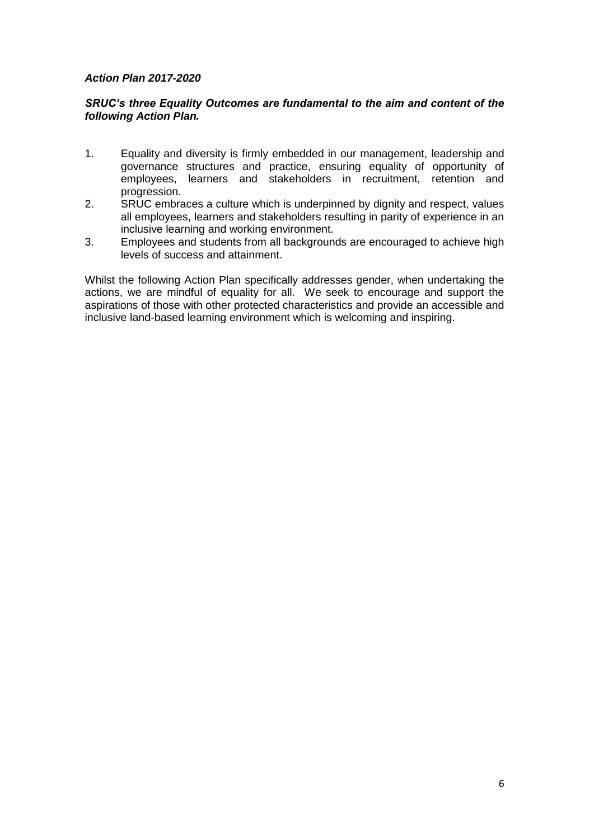## *Action Plan 2017-2020*

## *SRUC's three Equality Outcomes are fundamental to the aim and content of the following Action Plan.*

- 1. Equality and diversity is firmly embedded in our management, leadership and governance structures and practice, ensuring equality of opportunity of employees, learners and stakeholders in recruitment, retention and progression.
- 2. SRUC embraces a culture which is underpinned by dignity and respect, values all employees, learners and stakeholders resulting in parity of experience in an inclusive learning and working environment.
- 3. Employees and students from all backgrounds are encouraged to achieve high levels of success and attainment.

Whilst the following Action Plan specifically addresses gender, when undertaking the actions, we are mindful of equality for all. We seek to encourage and support the aspirations of those with other protected characteristics and provide an accessible and inclusive land-based learning environment which is welcoming and inspiring.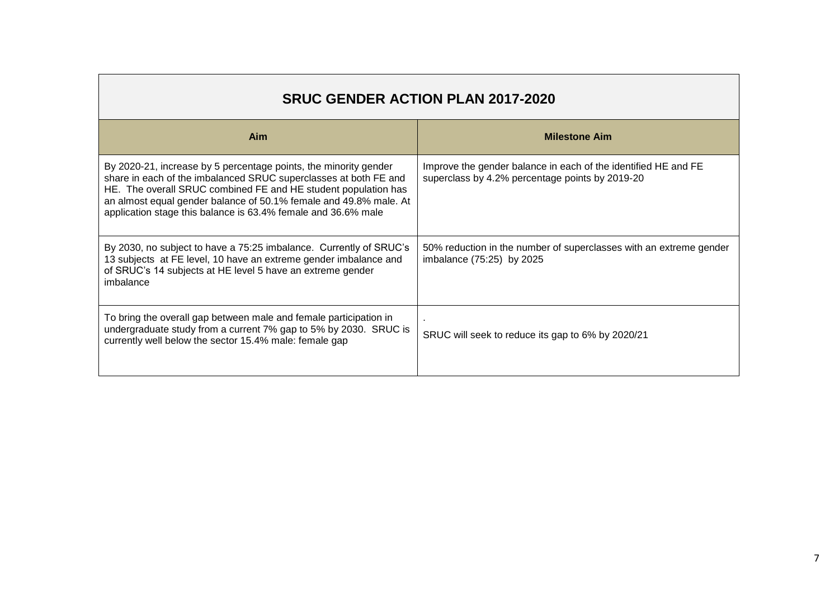| <b>SRUC GENDER ACTION PLAN 2017-2020</b>                                                                                                                                                                                                                                                                                                     |                                                                                                                   |  |  |  |  |
|----------------------------------------------------------------------------------------------------------------------------------------------------------------------------------------------------------------------------------------------------------------------------------------------------------------------------------------------|-------------------------------------------------------------------------------------------------------------------|--|--|--|--|
| Aim                                                                                                                                                                                                                                                                                                                                          | <b>Milestone Aim</b>                                                                                              |  |  |  |  |
| By 2020-21, increase by 5 percentage points, the minority gender<br>share in each of the imbalanced SRUC superclasses at both FE and<br>HE. The overall SRUC combined FE and HE student population has<br>an almost equal gender balance of 50.1% female and 49.8% male. At<br>application stage this balance is 63.4% female and 36.6% male | Improve the gender balance in each of the identified HE and FE<br>superclass by 4.2% percentage points by 2019-20 |  |  |  |  |
| By 2030, no subject to have a 75:25 imbalance. Currently of SRUC's<br>13 subjects at FE level, 10 have an extreme gender imbalance and<br>of SRUC's 14 subjects at HE level 5 have an extreme gender<br>imbalance                                                                                                                            | 50% reduction in the number of superclasses with an extreme gender<br>imbalance (75:25) by 2025                   |  |  |  |  |
| To bring the overall gap between male and female participation in<br>undergraduate study from a current 7% gap to 5% by 2030. SRUC is<br>currently well below the sector 15.4% male: female gap                                                                                                                                              | SRUC will seek to reduce its gap to 6% by 2020/21                                                                 |  |  |  |  |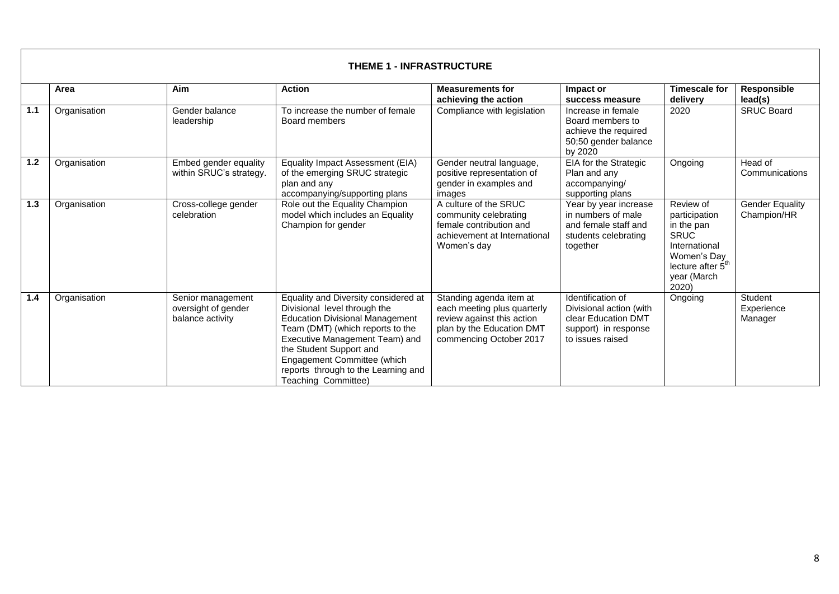|     | <b>THEME 1 - INFRASTRUCTURE</b> |                                                              |                                                                                                                                                                                                                                                                                                              |                                                                                                                                              |                                                                                                                 |                                                                                                                                                  |                                       |  |
|-----|---------------------------------|--------------------------------------------------------------|--------------------------------------------------------------------------------------------------------------------------------------------------------------------------------------------------------------------------------------------------------------------------------------------------------------|----------------------------------------------------------------------------------------------------------------------------------------------|-----------------------------------------------------------------------------------------------------------------|--------------------------------------------------------------------------------------------------------------------------------------------------|---------------------------------------|--|
|     | Area                            | Aim                                                          | <b>Action</b>                                                                                                                                                                                                                                                                                                | <b>Measurements for</b><br>achieving the action                                                                                              | Impact or<br>success measure                                                                                    | <b>Timescale for</b><br>delivery                                                                                                                 | Responsible<br>lead(s)                |  |
| 1.1 | Organisation                    | Gender balance<br>leadership                                 | To increase the number of female<br>Board members                                                                                                                                                                                                                                                            | Compliance with legislation                                                                                                                  | Increase in female<br>Board members to<br>achieve the required<br>50;50 gender balance<br>by 2020               | 2020                                                                                                                                             | <b>SRUC Board</b>                     |  |
| 1.2 | Organisation                    | Embed gender equality<br>within SRUC's strategy.             | Equality Impact Assessment (EIA)<br>of the emerging SRUC strategic<br>plan and any<br>accompanying/supporting plans                                                                                                                                                                                          | Gender neutral language,<br>positive representation of<br>gender in examples and<br>images                                                   | EIA for the Strategic<br>Plan and any<br>accompanying/<br>supporting plans                                      | Ongoing                                                                                                                                          | Head of<br>Communications             |  |
| 1.3 | Organisation                    | Cross-college gender<br>celebration                          | Role out the Equality Champion<br>model which includes an Equality<br>Champion for gender                                                                                                                                                                                                                    | A culture of the SRUC<br>community celebrating<br>female contribution and<br>achievement at International<br>Women's day                     | Year by year increase<br>in numbers of male<br>and female staff and<br>students celebrating<br>together         | Review of<br>participation<br>in the pan<br><b>SRUC</b><br>International<br>Women's Day<br>lecture after 5 <sup>th</sup><br>year (March<br>2020) | <b>Gender Equality</b><br>Champion/HR |  |
| 1.4 | Organisation                    | Senior management<br>oversight of gender<br>balance activity | Equality and Diversity considered at<br>Divisional level through the<br><b>Education Divisional Management</b><br>Team (DMT) (which reports to the<br>Executive Management Team) and<br>the Student Support and<br>Engagement Committee (which<br>reports through to the Learning and<br>Teaching Committee) | Standing agenda item at<br>each meeting plus quarterly<br>review against this action<br>plan by the Education DMT<br>commencing October 2017 | Identification of<br>Divisional action (with<br>clear Education DMT<br>support) in response<br>to issues raised | Ongoing                                                                                                                                          | Student<br>Experience<br>Manager      |  |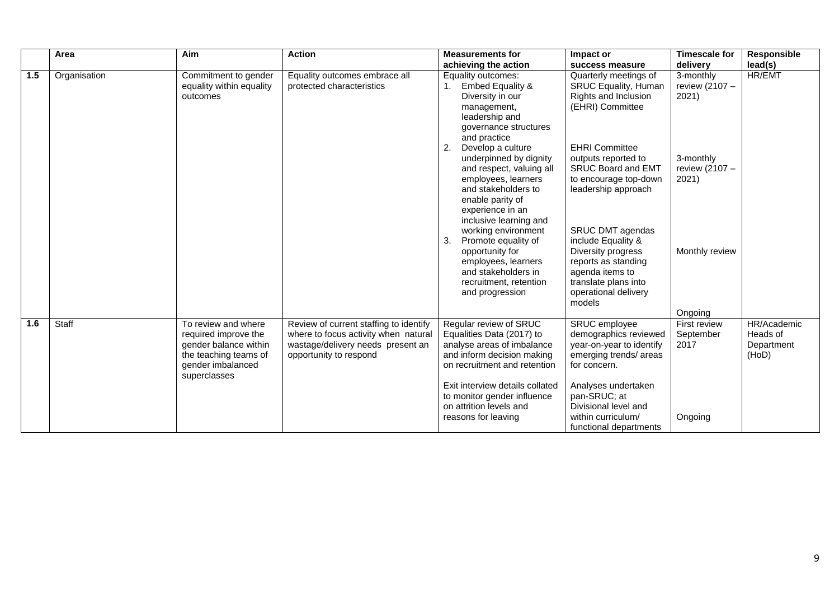|     | Area         | Aim                                                                                                                                | <b>Action</b>                                                                                                                                 | <b>Measurements for</b>                                                                                                                                                                                                                                             | Impact or                                                                                                                                                                                                                   | <b>Timescale for</b>                         | <b>Responsible</b>                             |
|-----|--------------|------------------------------------------------------------------------------------------------------------------------------------|-----------------------------------------------------------------------------------------------------------------------------------------------|---------------------------------------------------------------------------------------------------------------------------------------------------------------------------------------------------------------------------------------------------------------------|-----------------------------------------------------------------------------------------------------------------------------------------------------------------------------------------------------------------------------|----------------------------------------------|------------------------------------------------|
|     |              |                                                                                                                                    |                                                                                                                                               | achieving the action                                                                                                                                                                                                                                                | success measure                                                                                                                                                                                                             | delivery                                     | lead(s)                                        |
| 1.5 | Organisation | Commitment to gender<br>equality within equality<br>outcomes                                                                       | Equality outcomes embrace all<br>protected characteristics                                                                                    | Equality outcomes:<br><b>Embed Equality &amp;</b><br>Diversity in our<br>management,<br>leadership and<br>governance structures<br>and practice<br>2.<br>Develop a culture                                                                                          | Quarterly meetings of<br>SRUC Equality, Human<br>Rights and Inclusion<br>(EHRI) Committee<br><b>EHRI Committee</b>                                                                                                          | 3-monthly<br>review (2107 -<br>2021)         | <b>HR/EMT</b>                                  |
|     |              |                                                                                                                                    |                                                                                                                                               | underpinned by dignity<br>and respect, valuing all<br>employees, learners<br>and stakeholders to<br>enable parity of<br>experience in an<br>inclusive learning and<br>working environment                                                                           | outputs reported to<br><b>SRUC Board and EMT</b><br>to encourage top-down<br>leadership approach<br>SRUC DMT agendas                                                                                                        | 3-monthly<br>review (2107 -<br>2021)         |                                                |
|     |              |                                                                                                                                    |                                                                                                                                               | 3.<br>Promote equality of<br>opportunity for<br>employees, learners<br>and stakeholders in<br>recruitment, retention<br>and progression                                                                                                                             | include Equality &<br>Diversity progress<br>reports as standing<br>agenda items to<br>translate plans into<br>operational delivery<br>models                                                                                | Monthly review<br>Ongoing                    |                                                |
| 1.6 | Staff        | To review and where<br>required improve the<br>gender balance within<br>the teaching teams of<br>gender imbalanced<br>superclasses | Review of current staffing to identify<br>where to focus activity when natural<br>wastage/delivery needs present an<br>opportunity to respond | Regular review of SRUC<br>Equalities Data (2017) to<br>analyse areas of imbalance<br>and inform decision making<br>on recruitment and retention<br>Exit interview details collated<br>to monitor gender influence<br>on attrition levels and<br>reasons for leaving | SRUC employee<br>demographics reviewed<br>year-on-year to identify<br>emerging trends/ areas<br>for concern.<br>Analyses undertaken<br>pan-SRUC; at<br>Divisional level and<br>within curriculum/<br>functional departments | First review<br>September<br>2017<br>Ongoing | HR/Academic<br>Heads of<br>Department<br>(HoD) |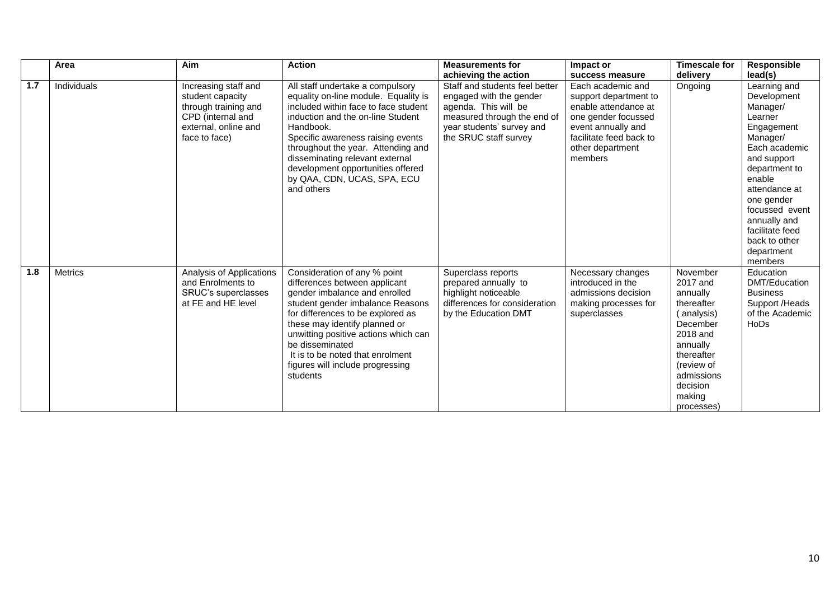|     | Area           | Aim                                                                                                                            | <b>Action</b>                                                                                                                                                                                                                                                                                                                                                      | <b>Measurements for</b>                                                                                                                                                | Impact or                                                                                                                                                                 | <b>Timescale for</b>                                                                                                                                                            | <b>Responsible</b>                                                                                                                                                                                                                                                    |
|-----|----------------|--------------------------------------------------------------------------------------------------------------------------------|--------------------------------------------------------------------------------------------------------------------------------------------------------------------------------------------------------------------------------------------------------------------------------------------------------------------------------------------------------------------|------------------------------------------------------------------------------------------------------------------------------------------------------------------------|---------------------------------------------------------------------------------------------------------------------------------------------------------------------------|---------------------------------------------------------------------------------------------------------------------------------------------------------------------------------|-----------------------------------------------------------------------------------------------------------------------------------------------------------------------------------------------------------------------------------------------------------------------|
|     |                |                                                                                                                                |                                                                                                                                                                                                                                                                                                                                                                    | achieving the action                                                                                                                                                   | success measure                                                                                                                                                           | delivery                                                                                                                                                                        | lead(s)                                                                                                                                                                                                                                                               |
| 1.7 | Individuals    | Increasing staff and<br>student capacity<br>through training and<br>CPD (internal and<br>external, online and<br>face to face) | All staff undertake a compulsory<br>equality on-line module. Equality is<br>included within face to face student<br>induction and the on-line Student<br>Handbook.<br>Specific awareness raising events<br>throughout the year. Attending and<br>disseminating relevant external<br>development opportunities offered<br>by QAA, CDN, UCAS, SPA, ECU<br>and others | Staff and students feel better<br>engaged with the gender<br>agenda. This will be<br>measured through the end of<br>year students' survey and<br>the SRUC staff survey | Each academic and<br>support department to<br>enable attendance at<br>one gender focussed<br>event annually and<br>facilitate feed back to<br>other department<br>members | Ongoing                                                                                                                                                                         | Learning and<br>Development<br>Manager/<br>Learner<br>Engagement<br>Manager/<br>Each academic<br>and support<br>department to<br>enable<br>attendance at<br>one gender<br>focussed event<br>annually and<br>facilitate feed<br>back to other<br>department<br>members |
| 1.8 | <b>Metrics</b> | Analysis of Applications<br>and Enrolments to<br>SRUC's superclasses<br>at FE and HE level                                     | Consideration of any % point<br>differences between applicant<br>gender imbalance and enrolled<br>student gender imbalance Reasons<br>for differences to be explored as<br>these may identify planned or<br>unwitting positive actions which can<br>be disseminated<br>It is to be noted that enrolment<br>figures will include progressing<br>students            | Superclass reports<br>prepared annually to<br>highlight noticeable<br>differences for consideration<br>by the Education DMT                                            | Necessary changes<br>introduced in the<br>admissions decision<br>making processes for<br>superclasses                                                                     | November<br>2017 and<br>annually<br>thereafter<br>( analysis)<br>December<br>2018 and<br>annually<br>thereafter<br>(review of<br>admissions<br>decision<br>making<br>processes) | Education<br>DMT/Education<br><b>Business</b><br>Support /Heads<br>of the Academic<br>HoDs                                                                                                                                                                            |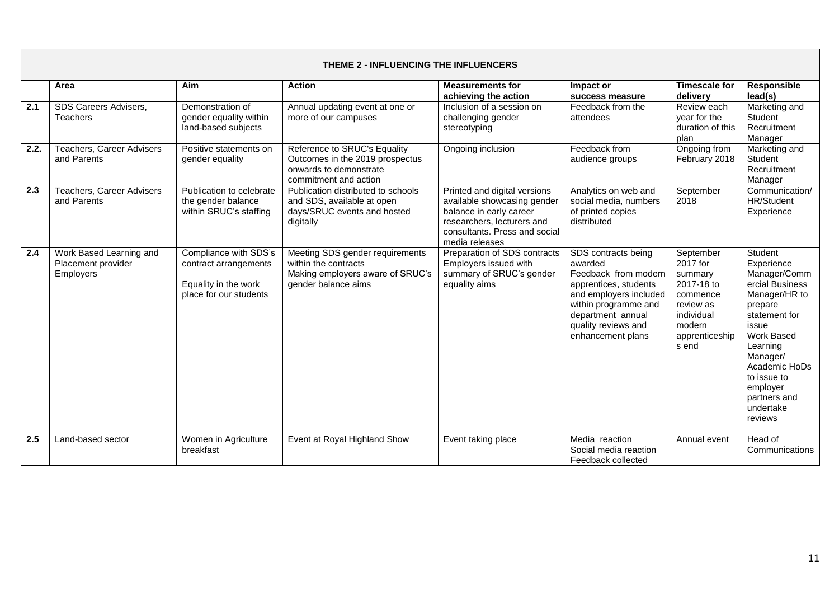|      | <b>THEME 2 - INFLUENCING THE INFLUENCERS</b>                      |                                                                                                  |                                                                                                                    |                                                                                                                                                                         |                                                                                                                                                                                                    |                                                                                                                            |                                                                                                                                                                                                                                          |
|------|-------------------------------------------------------------------|--------------------------------------------------------------------------------------------------|--------------------------------------------------------------------------------------------------------------------|-------------------------------------------------------------------------------------------------------------------------------------------------------------------------|----------------------------------------------------------------------------------------------------------------------------------------------------------------------------------------------------|----------------------------------------------------------------------------------------------------------------------------|------------------------------------------------------------------------------------------------------------------------------------------------------------------------------------------------------------------------------------------|
|      | Area                                                              | Aim                                                                                              | <b>Action</b>                                                                                                      | <b>Measurements for</b><br>achieving the action                                                                                                                         | Impact or<br>success measure                                                                                                                                                                       | <b>Timescale for</b><br>delivery                                                                                           | <b>Responsible</b><br>lead(s)                                                                                                                                                                                                            |
| 2.1  | SDS Careers Advisers,<br><b>Teachers</b>                          | Demonstration of<br>gender equality within<br>land-based subjects                                | Annual updating event at one or<br>more of our campuses                                                            | Inclusion of a session on<br>challenging gender<br>stereotyping                                                                                                         | Feedback from the<br>attendees                                                                                                                                                                     | Review each<br>year for the<br>duration of this<br>plan                                                                    | Marketing and<br>Student<br>Recruitment<br>Manager                                                                                                                                                                                       |
| 2.2. | Teachers, Career Advisers<br>and Parents                          | Positive statements on<br>gender equality                                                        | Reference to SRUC's Equality<br>Outcomes in the 2019 prospectus<br>onwards to demonstrate<br>commitment and action | Ongoing inclusion                                                                                                                                                       | Feedback from<br>audience groups                                                                                                                                                                   | Ongoing from<br>February 2018                                                                                              | Marketing and<br>Student<br>Recruitment<br>Manager                                                                                                                                                                                       |
| 2.3  | <b>Teachers, Career Advisers</b><br>and Parents                   | Publication to celebrate<br>the gender balance<br>within SRUC's staffing                         | Publication distributed to schools<br>and SDS, available at open<br>days/SRUC events and hosted<br>digitally       | Printed and digital versions<br>available showcasing gender<br>balance in early career<br>researchers, lecturers and<br>consultants. Press and social<br>media releases | Analytics on web and<br>social media, numbers<br>of printed copies<br>distributed                                                                                                                  | September<br>2018                                                                                                          | Communication/<br><b>HR/Student</b><br>Experience                                                                                                                                                                                        |
| 2.4  | Work Based Learning and<br>Placement provider<br><b>Employers</b> | Compliance with SDS's<br>contract arrangements<br>Equality in the work<br>place for our students | Meeting SDS gender requirements<br>within the contracts<br>Making employers aware of SRUC's<br>gender balance aims | Preparation of SDS contracts<br>Employers issued with<br>summary of SRUC's gender<br>equality aims                                                                      | SDS contracts being<br>awarded<br>Feedback from modern<br>apprentices, students<br>and employers included<br>within programme and<br>department annual<br>quality reviews and<br>enhancement plans | September<br>2017 for<br>summary<br>2017-18 to<br>commence<br>review as<br>individual<br>modern<br>apprenticeship<br>s end | Student<br>Experience<br>Manager/Comm<br>ercial Business<br>Manager/HR to<br>prepare<br>statement for<br>issue<br>Work Based<br>Learning<br>Manager/<br>Academic HoDs<br>to issue to<br>employer<br>partners and<br>undertake<br>reviews |
| 2.5  | Land-based sector                                                 | Women in Agriculture<br>breakfast                                                                | Event at Royal Highland Show                                                                                       | Event taking place                                                                                                                                                      | Media reaction<br>Social media reaction<br>Feedback collected                                                                                                                                      | Annual event                                                                                                               | Head of<br>Communications                                                                                                                                                                                                                |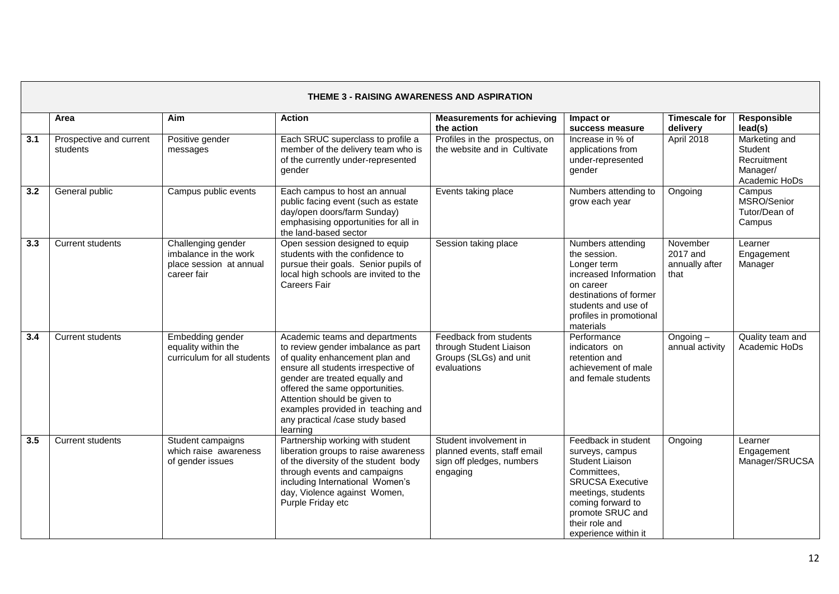|                  | <b>THEME 3 - RAISING AWARENESS AND ASPIRATION</b> |                                                                                       |                                                                                                                                                                                                                                                                                                                                         |                                                                                                |                                                                                                                                                                                                              |                                                |                                                                      |  |
|------------------|---------------------------------------------------|---------------------------------------------------------------------------------------|-----------------------------------------------------------------------------------------------------------------------------------------------------------------------------------------------------------------------------------------------------------------------------------------------------------------------------------------|------------------------------------------------------------------------------------------------|--------------------------------------------------------------------------------------------------------------------------------------------------------------------------------------------------------------|------------------------------------------------|----------------------------------------------------------------------|--|
|                  | Area                                              | Aim                                                                                   | <b>Action</b>                                                                                                                                                                                                                                                                                                                           | <b>Measurements for achieving</b><br>the action                                                | Impact or<br>success measure                                                                                                                                                                                 | <b>Timescale for</b><br>delivery               | Responsible<br>lead(s)                                               |  |
| $\overline{3.1}$ | Prospective and current<br>students               | Positive gender<br>messages                                                           | Each SRUC superclass to profile a<br>member of the delivery team who is<br>of the currently under-represented<br><i>gender</i>                                                                                                                                                                                                          | Profiles in the prospectus, on<br>the website and in Cultivate                                 | Increase in % of<br>applications from<br>under-represented<br>gender                                                                                                                                         | April 2018                                     | Marketing and<br>Student<br>Recruitment<br>Manager/<br>Academic HoDs |  |
| 3.2              | General public                                    | Campus public events                                                                  | Each campus to host an annual<br>public facing event (such as estate<br>day/open doors/farm Sunday)<br>emphasising opportunities for all in<br>the land-based sector                                                                                                                                                                    | Events taking place                                                                            | Numbers attending to<br>grow each year                                                                                                                                                                       | Ongoing                                        | Campus<br>MSRO/Senior<br>Tutor/Dean of<br>Campus                     |  |
| 3.3              | <b>Current students</b>                           | Challenging gender<br>imbalance in the work<br>place session at annual<br>career fair | Open session designed to equip<br>students with the confidence to<br>pursue their goals. Senior pupils of<br>local high schools are invited to the<br><b>Careers Fair</b>                                                                                                                                                               | Session taking place                                                                           | Numbers attending<br>the session.<br>Longer term<br>increased Information<br>on career<br>destinations of former<br>students and use of<br>profiles in promotional<br>materials                              | November<br>2017 and<br>annually after<br>that | Learner<br>Engagement<br>Manager                                     |  |
| 3.4              | <b>Current students</b>                           | Embedding gender<br>equality within the<br>curriculum for all students                | Academic teams and departments<br>to review gender imbalance as part<br>of quality enhancement plan and<br>ensure all students irrespective of<br>gender are treated equally and<br>offered the same opportunities.<br>Attention should be given to<br>examples provided in teaching and<br>any practical /case study based<br>learning | Feedback from students<br>through Student Liaison<br>Groups (SLGs) and unit<br>evaluations     | Performance<br>indicators on<br>retention and<br>achievement of male<br>and female students                                                                                                                  | Ongoing-<br>annual activity                    | Quality team and<br>Academic HoDs                                    |  |
| 3.5              | <b>Current students</b>                           | Student campaigns<br>which raise awareness<br>of gender issues                        | Partnership working with student<br>liberation groups to raise awareness<br>of the diversity of the student body<br>through events and campaigns<br>including International Women's<br>day, Violence against Women,<br>Purple Friday etc                                                                                                | Student involvement in<br>planned events, staff email<br>sign off pledges, numbers<br>engaging | Feedback in student<br>surveys, campus<br>Student Liaison<br>Committees,<br><b>SRUCSA Executive</b><br>meetings, students<br>coming forward to<br>promote SRUC and<br>their role and<br>experience within it | Ongoing                                        | Learner<br>Engagement<br>Manager/SRUCSA                              |  |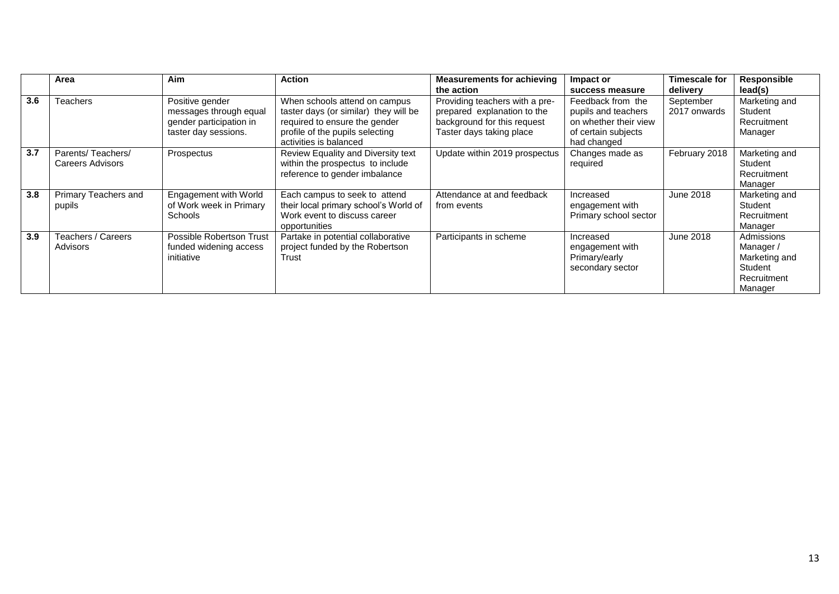|     | Area                                  | <b>Aim</b>                                                                                   | <b>Action</b>                                                                                                                                                        | <b>Measurements for achieving</b><br>the action                                                                          | Impact or<br>success measure                                                                            | <b>Timescale for</b><br>delivery | Responsible<br>lead(s)                                                       |
|-----|---------------------------------------|----------------------------------------------------------------------------------------------|----------------------------------------------------------------------------------------------------------------------------------------------------------------------|--------------------------------------------------------------------------------------------------------------------------|---------------------------------------------------------------------------------------------------------|----------------------------------|------------------------------------------------------------------------------|
| 3.6 | <b>Feachers</b>                       | Positive gender<br>messages through equal<br>gender participation in<br>taster day sessions. | When schools attend on campus<br>taster days (or similar) they will be<br>required to ensure the gender<br>profile of the pupils selecting<br>activities is balanced | Providing teachers with a pre-<br>prepared explanation to the<br>background for this request<br>Taster days taking place | Feedback from the<br>pupils and teachers<br>on whether their view<br>of certain subjects<br>had changed | September<br>2017 onwards        | Marketing and<br>Student<br>Recruitment<br>Manager                           |
| 3.7 | Parents/Teachers/<br>Careers Advisors | Prospectus                                                                                   | Review Equality and Diversity text<br>within the prospectus to include<br>reference to gender imbalance                                                              | Update within 2019 prospectus                                                                                            | Changes made as<br>required                                                                             | February 2018                    | Marketing and<br>Student<br>Recruitment<br>Manager                           |
| 3.8 | Primary Teachers and<br>pupils        | Engagement with World<br>of Work week in Primary<br><b>Schools</b>                           | Each campus to seek to attend<br>their local primary school's World of<br>Work event to discuss career<br>opportunities                                              | Attendance at and feedback<br>from events                                                                                | Increased<br>engagement with<br>Primary school sector                                                   | June 2018                        | Marketing and<br>Student<br>Recruitment<br>Manager                           |
| 3.9 | Teachers / Careers<br>Advisors        | Possible Robertson Trust<br>funded widening access<br>initiative                             | Partake in potential collaborative<br>project funded by the Robertson<br>Trust                                                                                       | Participants in scheme                                                                                                   | Increased<br>engagement with<br>Primary/early<br>secondary sector                                       | June 2018                        | Admissions<br>Manager/<br>Marketing and<br>Student<br>Recruitment<br>Manager |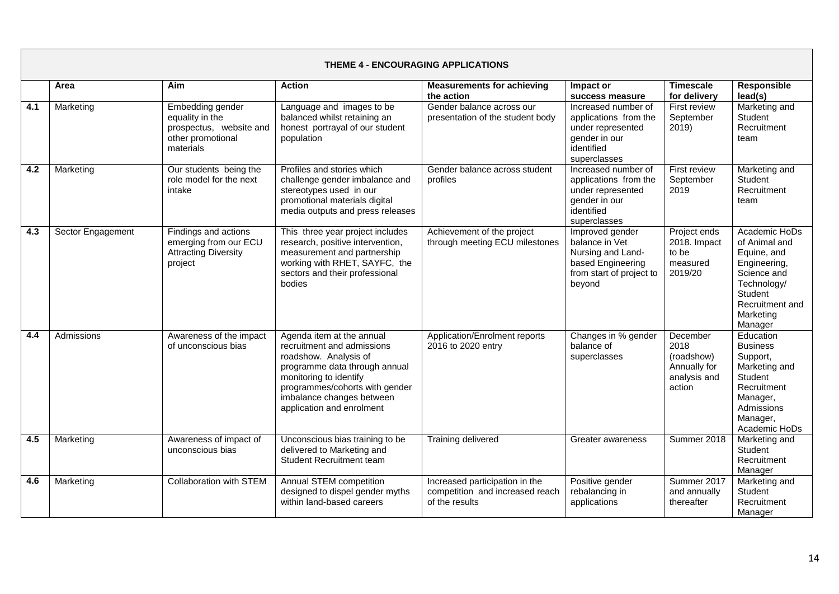|     | <b>THEME 4 - ENCOURAGING APPLICATIONS</b> |                                                                                                         |                                                                                                                                                                                                                                         |                                                                                     |                                                                                                                   |                                                                          |                                                                                                                                                   |  |  |
|-----|-------------------------------------------|---------------------------------------------------------------------------------------------------------|-----------------------------------------------------------------------------------------------------------------------------------------------------------------------------------------------------------------------------------------|-------------------------------------------------------------------------------------|-------------------------------------------------------------------------------------------------------------------|--------------------------------------------------------------------------|---------------------------------------------------------------------------------------------------------------------------------------------------|--|--|
|     | Area                                      | Aim                                                                                                     | <b>Action</b>                                                                                                                                                                                                                           | <b>Measurements for achieving</b><br>the action                                     | Impact or<br>success measure                                                                                      | <b>Timescale</b><br>for delivery                                         | Responsible<br>lead(s)                                                                                                                            |  |  |
| 4.1 | Marketing                                 | <b>Embedding gender</b><br>equality in the<br>prospectus, website and<br>other promotional<br>materials | Language and images to be<br>balanced whilst retaining an<br>honest portrayal of our student<br>population                                                                                                                              | Gender balance across our<br>presentation of the student body                       | Increased number of<br>applications from the<br>under represented<br>gender in our<br>identified<br>superclasses  | First review<br>September<br>2019                                        | Marketing and<br>Student<br>Recruitment<br>team                                                                                                   |  |  |
| 4.2 | Marketing                                 | Our students being the<br>role model for the next<br>intake                                             | Profiles and stories which<br>challenge gender imbalance and<br>stereotypes used in our<br>promotional materials digital<br>media outputs and press releases                                                                            | Gender balance across student<br>profiles                                           | Increased number of<br>applications from the<br>under represented<br>gender in our<br>identified<br>superclasses  | First review<br>September<br>2019                                        | Marketing and<br>Student<br>Recruitment<br>team                                                                                                   |  |  |
| 4.3 | Sector Engagement                         | Findings and actions<br>emerging from our ECU<br><b>Attracting Diversity</b><br>project                 | This three year project includes<br>research, positive intervention,<br>measurement and partnership<br>working with RHET, SAYFC, the<br>sectors and their professional<br>bodies                                                        | Achievement of the project<br>through meeting ECU milestones                        | Improved gender<br>balance in Vet<br>Nursing and Land-<br>based Engineering<br>from start of project to<br>beyond | Project ends<br>2018. Impact<br>to be<br>measured<br>2019/20             | Academic HoDs<br>of Animal and<br>Equine, and<br>Engineering,<br>Science and<br>Technology/<br>Student<br>Recruitment and<br>Marketing<br>Manager |  |  |
| 4.4 | Admissions                                | Awareness of the impact<br>of unconscious bias                                                          | Agenda item at the annual<br>recruitment and admissions<br>roadshow. Analysis of<br>programme data through annual<br>monitoring to identify<br>programmes/cohorts with gender<br>imbalance changes between<br>application and enrolment | Application/Enrolment reports<br>2016 to 2020 entry                                 | Changes in % gender<br>balance of<br>superclasses                                                                 | December<br>2018<br>(roadshow)<br>Annually for<br>analysis and<br>action | Education<br><b>Business</b><br>Support,<br>Marketing and<br>Student<br>Recruitment<br>Manager,<br>Admissions<br>Manager,<br>Academic HoDs        |  |  |
| 4.5 | Marketing                                 | Awareness of impact of<br>unconscious bias                                                              | Unconscious bias training to be<br>delivered to Marketing and<br>Student Recruitment team                                                                                                                                               | Training delivered                                                                  | Greater awareness                                                                                                 | Summer 2018                                                              | Marketing and<br>Student<br>Recruitment<br>Manager                                                                                                |  |  |
| 4.6 | Marketing                                 | <b>Collaboration with STEM</b>                                                                          | Annual STEM competition<br>designed to dispel gender myths<br>within land-based careers                                                                                                                                                 | Increased participation in the<br>competition and increased reach<br>of the results | Positive gender<br>rebalancing in<br>applications                                                                 | Summer 2017<br>and annually<br>thereafter                                | Marketing and<br>Student<br>Recruitment<br>Manager                                                                                                |  |  |